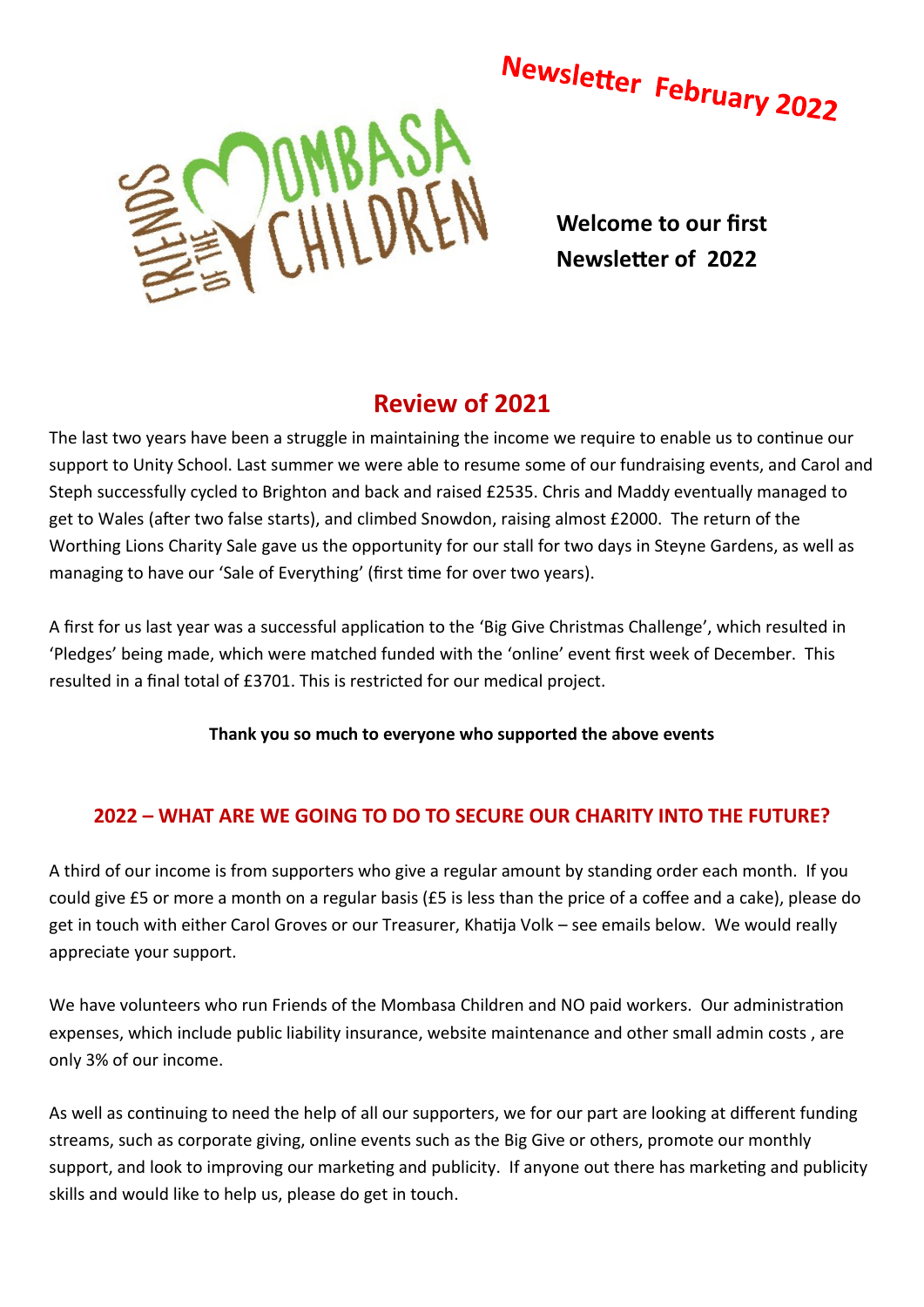

**Welcome to our first Newsletter of 2022**

## **Review of 2021**

The last two years have been a struggle in maintaining the income we require to enable us to continue our support to Unity School. Last summer we were able to resume some of our fundraising events, and Carol and Steph successfully cycled to Brighton and back and raised £2535. Chris and Maddy eventually managed to get to Wales (after two false starts), and climbed Snowdon, raising almost £2000. The return of the Worthing Lions Charity Sale gave us the opportunity for our stall for two days in Steyne Gardens, as well as managing to have our 'Sale of Everything' (first time for over two years).

A first for us last year was a successful application to the 'Big Give Christmas Challenge', which resulted in 'Pledges' being made, which were matched funded with the 'online' event first week of December. This resulted in a final total of £3701. This is restricted for our medical project.

**Thank you so much to everyone who supported the above events**

# **2022 – WHAT ARE WE GOING TO DO TO SECURE OUR CHARITY INTO THE FUTURE?**

A third of our income is from supporters who give a regular amount by standing order each month. If you could give £5 or more a month on a regular basis (£5 is less than the price of a coffee and a cake), please do get in touch with either Carol Groves or our Treasurer, Khatija Volk – see emails below. We would really appreciate your support.

We have volunteers who run Friends of the Mombasa Children and NO paid workers. Our administration expenses, which include public liability insurance, website maintenance and other small admin costs , are only 3% of our income.

As well as continuing to need the help of all our supporters, we for our part are looking at different funding streams, such as corporate giving, online events such as the Big Give or others, promote our monthly support, and look to improving our marketing and publicity. If anyone out there has marketing and publicity skills and would like to help us, please do get in touch.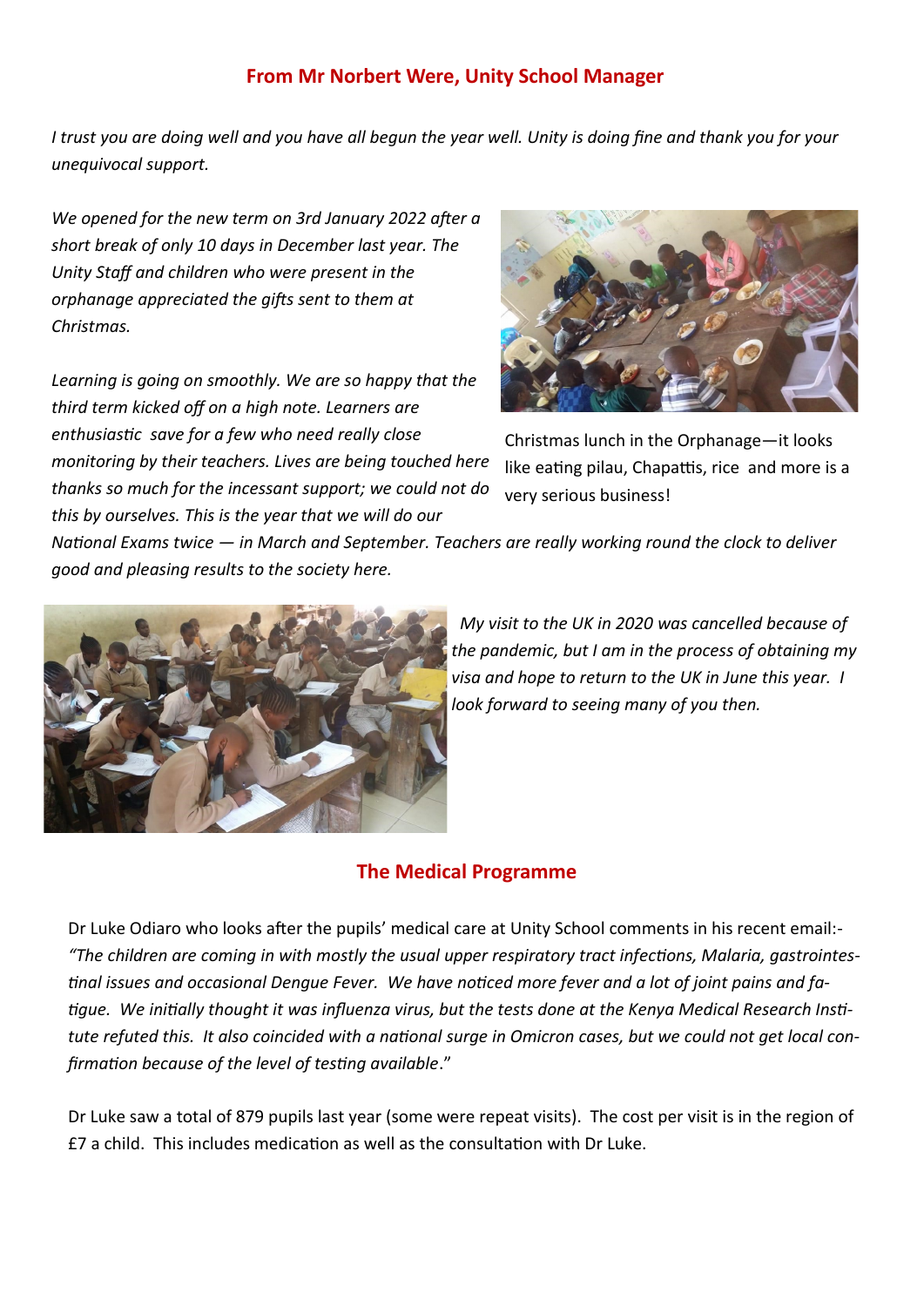### **From Mr Norbert Were, Unity School Manager**

*I trust you are doing well and you have all begun the year well. Unity is doing fine and thank you for your unequivocal support.*

*We opened for the new term on 3rd January 2022 after a short break of only 10 days in December last year. The Unity Staff and children who were present in the orphanage appreciated the gifts sent to them at Christmas.* 

*Learning is going on smoothly. We are so happy that the third term kicked off on a high note. Learners are enthusiastic save for a few who need really close monitoring by their teachers. Lives are being touched here thanks so much for the incessant support; we could not do this by ourselves. This is the year that we will do our* 



Christmas lunch in the Orphanage—it looks like eating pilau, Chapattis, rice and more is a very serious business!

*National Exams twice — in March and September. Teachers are really working round the clock to deliver good and pleasing results to the society here.*



 *My visit to the UK in 2020 was cancelled because of the pandemic, but I am in the process of obtaining my visa and hope to return to the UK in June this year. I look forward to seeing many of you then.*

## **The Medical Programme**

Dr Luke Odiaro who looks after the pupils' medical care at Unity School comments in his recent email:- *"The children are coming in with mostly the usual upper respiratory tract infections, Malaria, gastrointestinal issues and occasional Dengue Fever. We have noticed more fever and a lot of joint pains and fatigue. We initially thought it was influenza virus, but the tests done at the Kenya Medical Research Institute refuted this. It also coincided with a national surge in Omicron cases, but we could not get local confirmation because of the level of testing available*."

Dr Luke saw a total of 879 pupils last year (some were repeat visits). The cost per visit is in the region of £7 a child. This includes medication as well as the consultation with Dr Luke.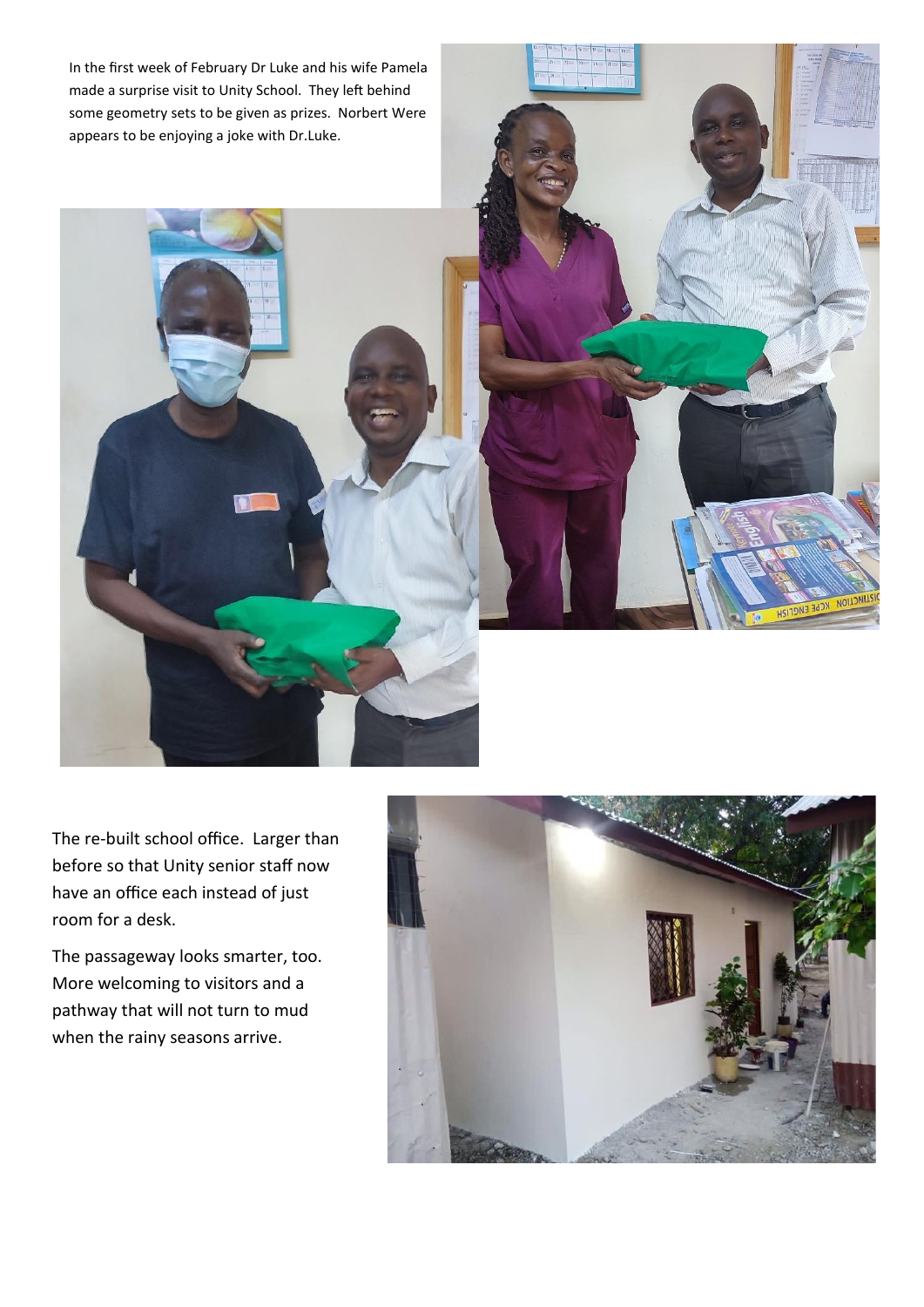In the first week of February Dr Luke and his wife Pamela made a surprise visit to Unity School. They left behind some geometry sets to be given as prizes. Norbert Were appears to be enjoying a joke with Dr.Luke.

The re-built school office. Larger than before so that Unity senior staff now have an office each instead of just room for a desk.

The passageway looks smarter, too. More welcoming to visitors and a pathway that will not turn to mud when the rainy seasons arrive.